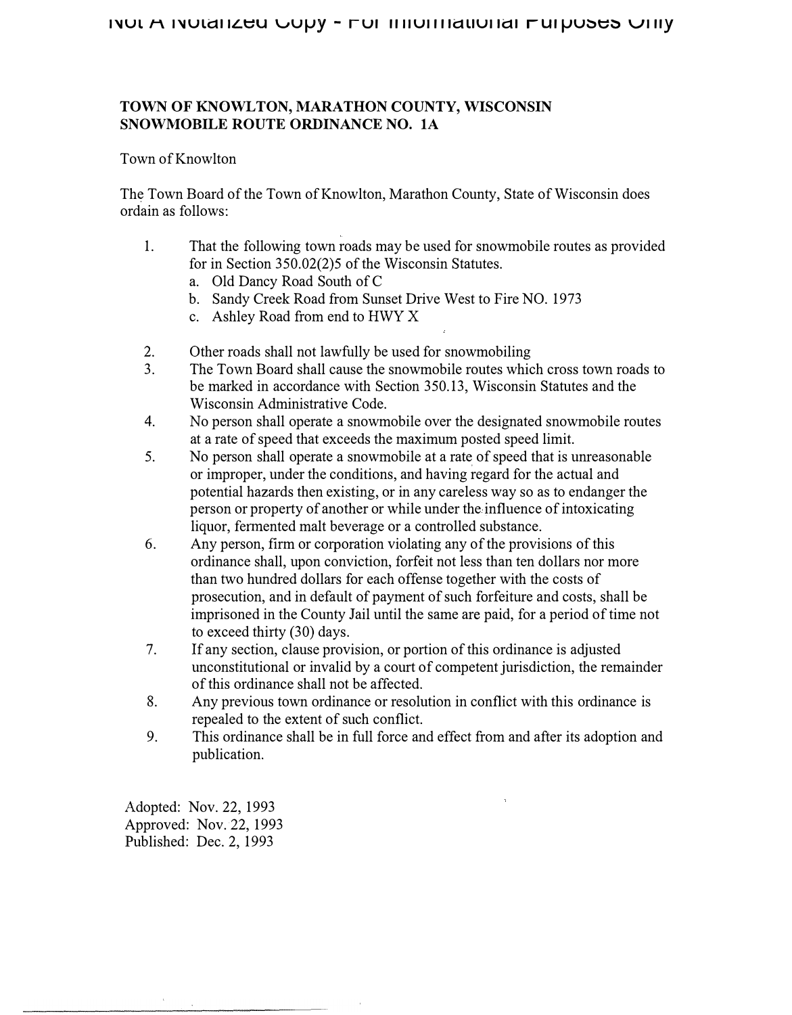# **TOWN OF KNOWLTON, MARATHON COUNTY, WISCONSIN SNOWMOBILE ROUTE ORDINANCE NO. lA**

## Town of Knowlton

The Town Board of the Town of Knowlton, Marathon County, State of Wisconsin does ordain as follows:

- 1. That the following town roads may be used for snowmobile routes as provided for in Section 350.02(2)5 of the Wisconsin Statutes.
	- a. Old Dancy Road South of C
	- b. Sandy Creek Road from Sunset Drive West to Fire NO. 1973
	- c. Ashley Road from end to HWY X
- 2. Other roads shall not lawfully be used for snowmobiling
- 3. The Town Board shall cause the snowmobile routes which cross town roads to be marked in accordance with Section 350.13, Wisconsin Statutes and the Wisconsin Administrative Code.
- 4. No person shall operate a snowmobile over the designated snowmobile routes at a rate of speed that exceeds the maximum posted speed limit.
- 5. No person shall operate a snowmobile at a rate of speed that is unreasonable or improper, under the conditions, and having regard for the actual and potential hazards then existing, or in any careless way so as to endanger the person or property of another or while under the influence of intoxicating liquor, fermented malt beverage or a controlled substance.
- 6. Any person, firm or corporation violating any of the provisions of this ordinance shall, upon conviction, forfeit not less than ten dollars nor more than two hundred dollars for each offense together with the costs of prosecution, and in default of payment of such forfeiture and costs, shall be imprisoned in the County Jail until the same are paid, for a period of time not to exceed thirty (30) days.
- 7. If any section, clause provision, or portion of this ordinance is adjusted unconstitutional or invalid by a court of competent jurisdiction, the remainder of this ordinance shall not be affected.
- 8. Any previous town ordinance or resolution in conflict with this ordinance is repealed to the extent of such conflict.
- 9. This ordinance shall be in full force and effect from and after its adoption and publication.

Adopted: Nov. 22, 1993 Approved: Nov.22, 1993 Published: Dec. 2, 1993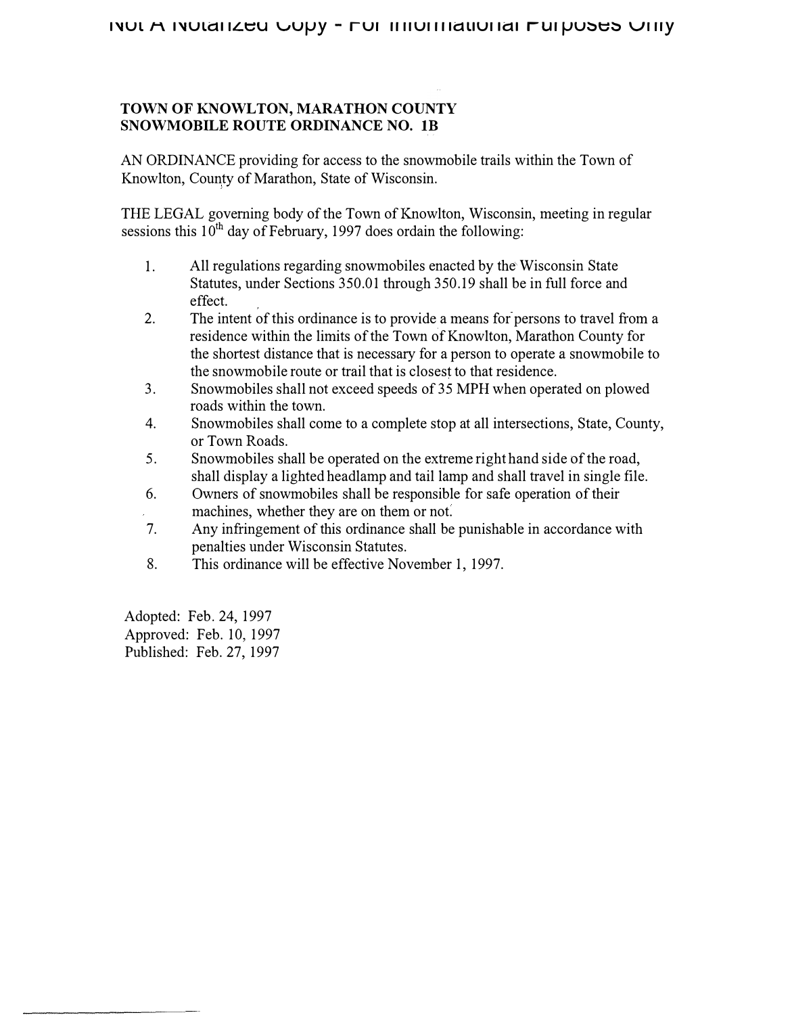# **TOWN OF KNOWLTON, MARATHON COUNTY SNOWMOBILE ROUTE ORDINANCE NO. lB**

AN ORDINANCE providing for access to the snowmobile trails within the Town of Knowlton, County of Marathon, State of Wisconsin.

THE LEGAL governing body of the Town of Knowlton, Wisconsin, meeting in regular sessions this  $10^{th}$  day of February, 1997 does ordain the following:

- 1. All regulations regarding snowmobiles enacted by the Wisconsin State Statutes, under Sections 350.01 through 350.19 shall be in full force and effect.
- 2. The intent of this ordinance is to provide a means for persons to travel from a residence within the limits of the Town of Knowlton, Marathon County for the shortest distance that is necessary for a person to operate a snowmobile to the snowmobile route or trail that is closest to that residence.
- 3. Snowmobiles shall not exceed speeds of 35 MPH when operated on plowed roads within the town.
- 4. Snowmobiles shall come to a complete stop at all intersections, State, County, or Town Roads.
- 5. Snowmobiles shall be operated on the extreme right hand side of the road, shall display a lighted headlamp and tail lamp and shall travel in single file.
- 6. Owners of snowmobiles shall be responsible for safe operation of their machines, whether they are on them or not.
- 7. Any infringement of this ordinance shall be punishable in accordance with penalties under Wisconsin Statutes.
- 8. This ordinance will be effective November 1, 1997.

Adopted: Feb. 24, 1997 Approved: Feb. 10, 1997 Published: Feb. 27, 1997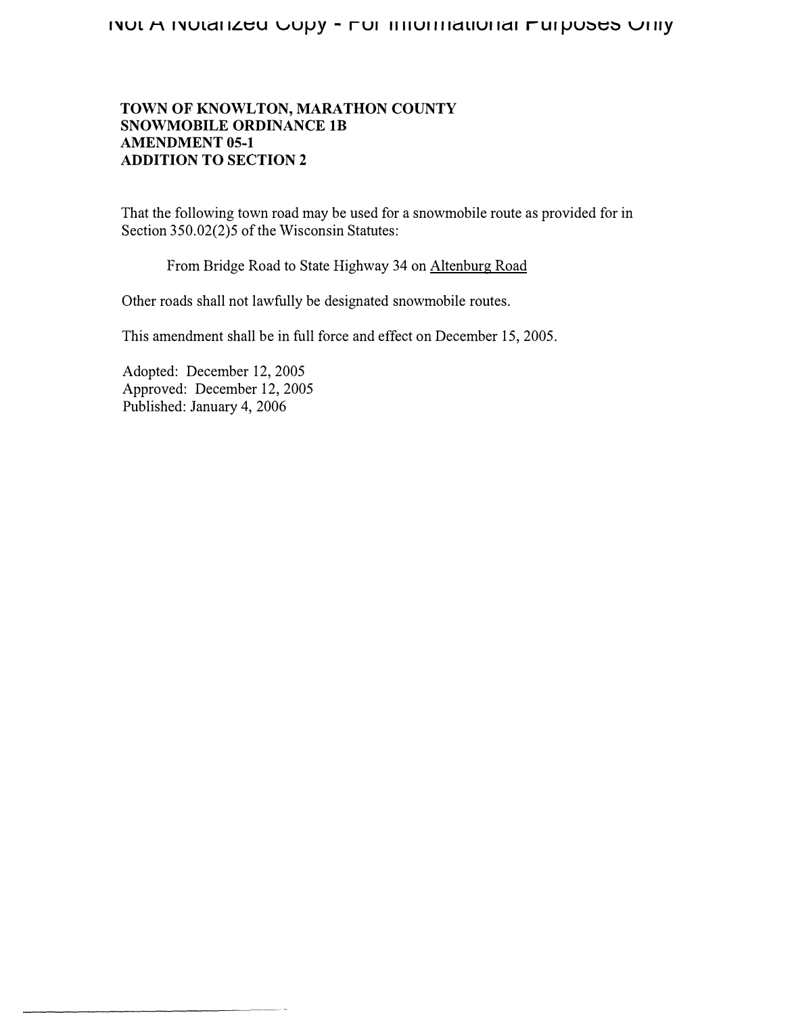# **TOWN OF KNOWLTON, MARATHON COUNTY SNOWMOBILE ORDINANCE lB AMENDMENT 05-1 ADDITION TO SECTION 2**

That the following town road may be used for a snowmobile route as provided for in Section 350.02(2)5 of the Wisconsin Statutes:

From Bridge Road to State Highway 34 on Altenburg Road

Other roads shall not lawfully be designated snowmobile routes.

This amendment shall be in full force and effect on December 15, 2005.

Adopted: December 12, 2005 Approved: December 12, 2005 Published: January 4, 2006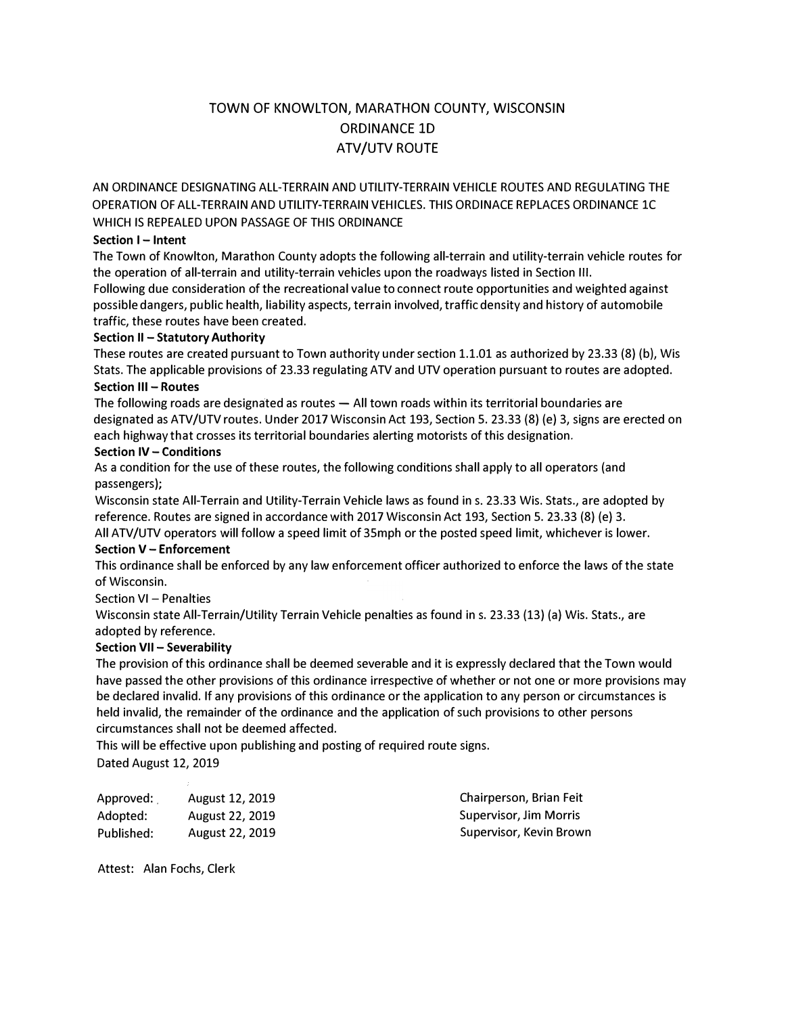# TOWN OF KNOWLTON, MARATHON COUNTY, WISCONSIN ORDINANCE 1D ATV/UTV ROUTE

AN ORDINANCE DESIGNATING ALL-TERRAIN AND UTILITY-TERRAIN VEHICLE ROUTES AND REGULATING THE OPERATION OF ALL-TERRAIN AND UTILITY-TERRAIN VEHICLES. THIS ORDINACE REPLACES ORDINANCE lC WHICH IS REPEALED UPON PASSAGE OF THIS ORDINANCE

#### **Section I - Intent**

The Town of Knowlton, Marathon County adopts the following all-terrain and utility-terrain vehicle routes for the operation of all-terrain and utility-terrain vehicles upon the roadways listed in Section Ill.

Following due consideration of the recreational value to connect route opportunities and weighted against possible dangers, public health, liability aspects, terrain involved, traffic density and history of automobile traffic, these routes have been created.

#### **Section II - Statutory Authority**

These routes are created pursuant to Town authority under section 1.1.01 as authorized by 23.33 (8) (b}, Wis Stats. The applicable provisions of 23.33 regulating ATV and UTV operation pursuant to routes are adopted.

### **Section Ill - Routes**

The following roads are designated as routes  $-$  All town roads within its territorial boundaries are designated as ATV/UTV routes. Under 2017 Wisconsin Act 193, Section 5. 23.33 (8) (e) 3, signs are erected on each highway that crosses its territorial boundaries alerting motorists of this designation.

#### **Section IV - Conditions**

As a condition for the use of these routes, the following conditions shall apply to all operators (and passengers);

Wisconsin state All-Terrain and Utility-Terrain Vehicle laws as found in s. 23.33 Wis. Stats., are adopted by reference. Routes are signed in accordance with 2017 Wisconsin Act 193, Section 5. 23.33 (8) (e) 3.

All ATV/UTV operators will follow a speed limit of 35mph or the posted speed limit, whichever is lower. **Section V - Enforcement** 

This ordinance shall be enforced by any law enforcement officer authorized to enforce the laws of the state of Wisconsin.

#### Section VI - Penalties

Wisconsin state All-Terrain/Utility Terrain Vehicle penalties as found in s. 23.33 (13) (a) Wis. Stats., are adopted by reference.

#### **Section VII - Severability**

The provision of this ordinance shall be deemed severable and it is expressly declared that the Town would have passed the other provisions of this ordinance irrespective of whether or not one or more provisions may be declared invalid. If any provisions of this ordinance or the application to any person or circumstances is held invalid, the remainder of the ordinance and the application of such provisions to other persons circumstances shall not be deemed affected.

This will be effective upon publishing and posting of required route signs. Dated August 12, 2019

| Approved:  | <b>August 12, 2019</b> | Chairperson, Brian Feit |
|------------|------------------------|-------------------------|
| Adopted:   | <b>August 22, 2019</b> | Supervisor, Jim Morris  |
| Published: | <b>August 22, 2019</b> | Supervisor, Kevin Brown |

Attest: Alan Fochs, Clerk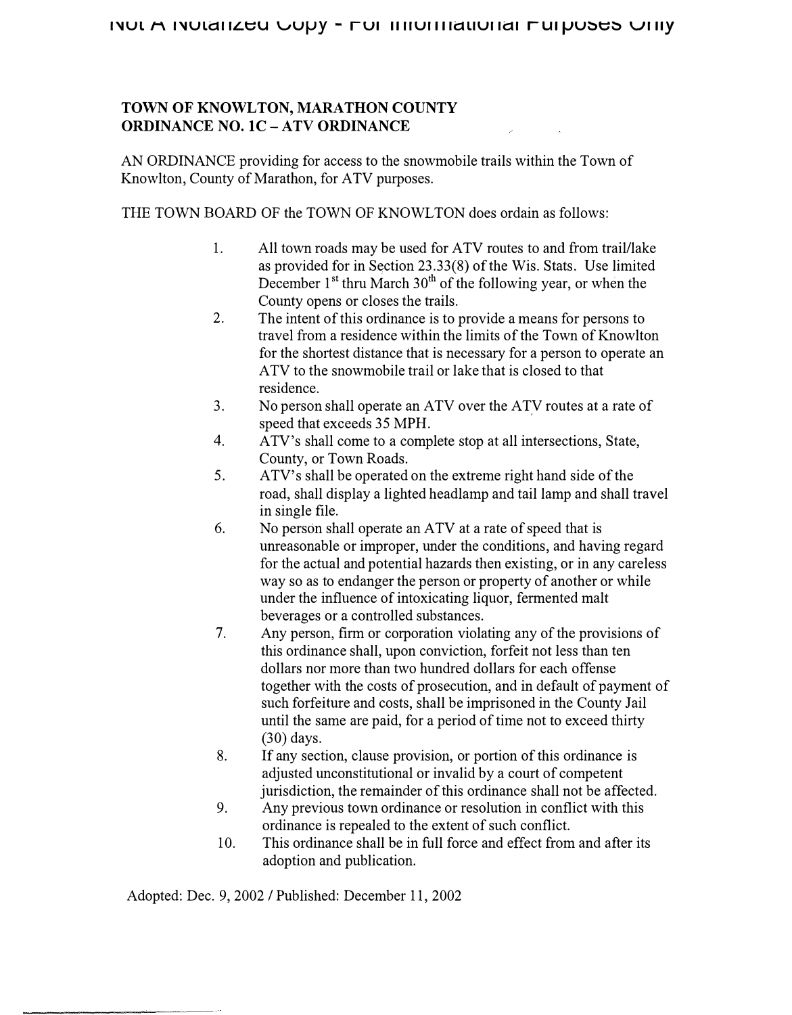# **TOWN OF KNOWLTON, MARATHON COUNTY ORDINANCE NO. lC-ATV ORDINANCE**

AN ORDINANCE providing for access to the snowmobile trails within the Town of Knowlton, County of Marathon, for ATV purposes.

THE TOWN BOARD OF the TOWN OF KNOWLTON does ordain as follows:

- 1. All town roads may be used for ATV routes to and from trail/lake as provided for in Section 23.33(8) of the Wis. Stats. Use limited December  $1^{st}$  thru March  $30^{th}$  of the following year, or when the County opens or closes the trails.
- 2. The intent of this ordinance is to provide a means for persons to travel from a residence within the limits of the Town of Knowlton for the shortest distance that is necessary for a person to operate an ATV to the snowmobile trail or lake that is closed to that residence.
- 3. No person shall operate an ATV over the ATV routes at a rate of speed that exceeds 35 MPH.
- 4. ATV's shall come to a complete stop at all intersections, State, County, or Town Roads.
- 5. ATV' s shall be operated on the extreme right hand side of the road, shall display a lighted headlamp and tail lamp and shall travel in single file.
- 6. No person shall operate an ATV at a rate of speed that is unreasonable or improper, under the conditions, and having regard for the actual and potential hazards then existing, or in any careless way so as to endanger the person or property of another or while under the influence of intoxicating liquor, fermented malt beverages or a controlled substances.
- 7. Any person, firm or corporation violating any of the provisions of this ordinance shall, upon conviction, forfeit not less than ten dollars nor more than two hundred dollars for each offense together with the costs of prosecution, and in default of payment of such forfeiture and costs, shall be imprisoned in the County Jail until the same are paid, for a period of time not to exceed thirty (30) days.
- 8. If any section, clause provision, or portion of this ordinance is adjusted unconstitutional or invalid by a court of competent jurisdiction, the remainder of this ordinance shall not be affected.
- 9. Any previous town ordinance or resolution in conflict with this ordinance is repealed to the extent of such conflict.
- 10. This ordinance shall be in full force and effect from and after its adoption and publication.

Adopted: Dec. 9, 2002 / Published: December 11, 2002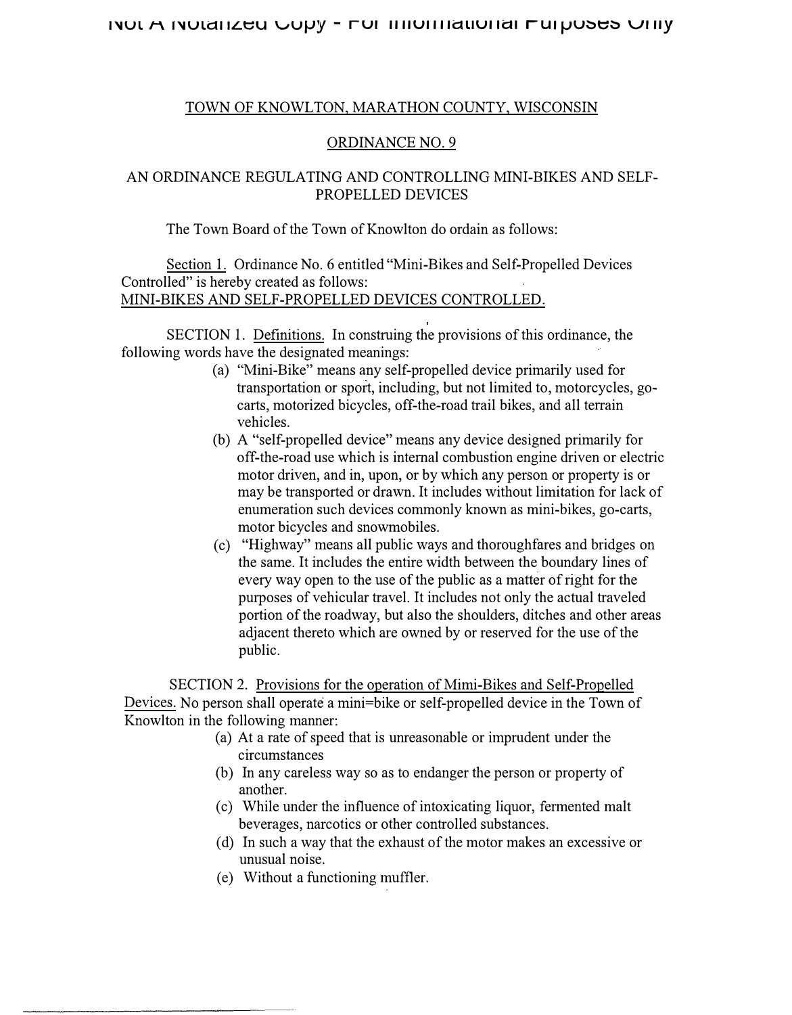## **l'JUL J-\ r'JULctl ILt::u vUIJY - ru, 1111u1111auu1** *,a,* **ru, IJU�t::� v, 11y**

### TOWN OF KNOWLTON, MARATHON COUNTY, WISCONSIN

### ORDINANCE NO. 9

# AN ORDINANCE REGULATING AND CONTROLLING MINI-BIKES AND SELF-PROPELLED DEVICES

The Town Board of the Town of Knowlton do ordain as follows:

Section 1. Ordinance No. 6 entitled "Mini-Bikes and Self-Propelled Devices Controlled" is hereby created as follows: MINI-BIKES AND SELF-PROPELLED DEVICES CONTROLLED.

SECTION 1. Definitions. In construing the provisions of this ordinance, the following words have the designated meanings:

- (a) "Mini-Bike" means any self-propelled device primarily used for transportation or sport, including, but not limited to, motorcycles, gocarts, motorized bicycles, off-the-road trail bikes, and all terrain vehicles.
- (b) A "self-propelled device" means any device designed primarily for off-the-road use which is internal combustion engine driven or electric motor driven, and in, upon, or by which any person or property is or may be transported or drawn. It includes without limitation for lack of enumeration such devices commonly known as mini-bikes, go-carts, motor bicycles and snowmobiles.
- ( c) "Highway" means all public ways and thoroughfares and bridges on the same. It includes the entire width between the boundary lines of every way open to the use of the public as a matter of right for the purposes of vehicular travel. It includes not only the actual traveled portion of the roadway, but also the shoulders, ditches and other areas adjacent thereto which are owned by or reserved for the use of the public.

SECTION 2. Provisions for the operation of Mimi-Bikes and Self-Propelled Devices. No person shall operate a mini=bike or self-propelled device in the Town of Knowlton in the following manner:

- (a) At a rate of speed that is unreasonable or imprudent under the circumstances
- (b) In any careless way so as to endanger the person or property of another.
- ( c) While under the influence of intoxicating liquor, fermented malt beverages, narcotics or other controlled substances.
- ( d) In such a way that the exhaust of the motor makes an excessive or unusual noise.
- (e) Without a functioning muffler.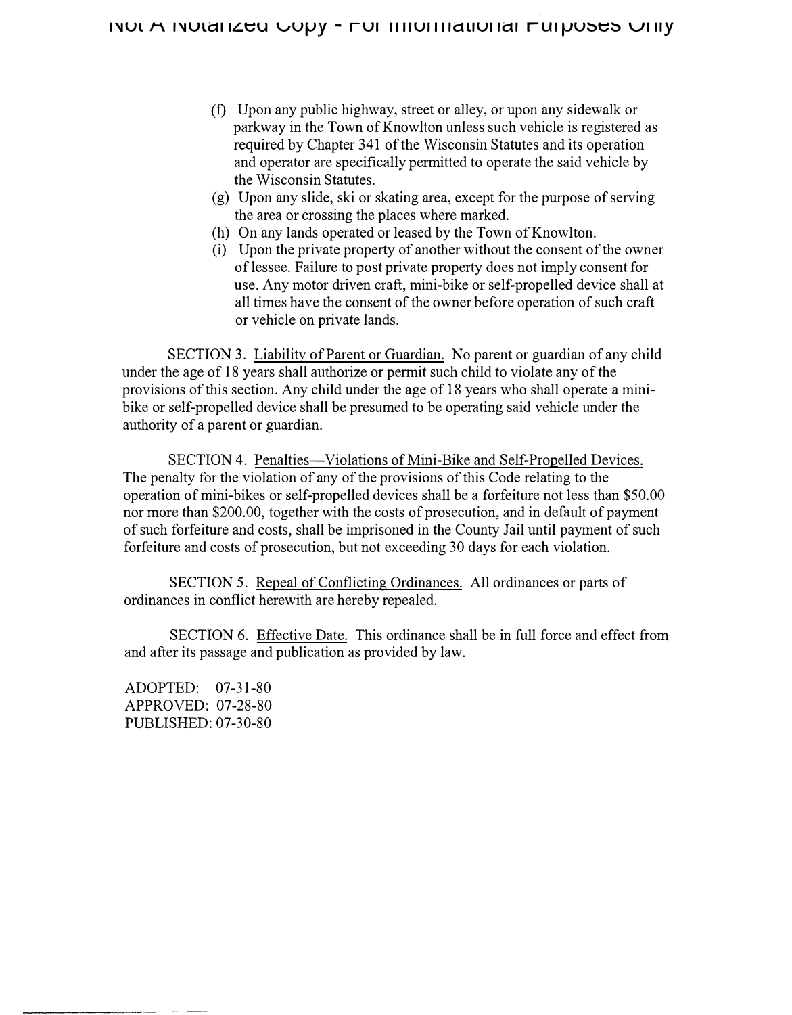- (f) Upon any public highway, street or alley, or upon any sidewalk or parkway in the Town of Knowlton unless such vehicle is registered as required by Chapter 341 of the Wisconsin Statutes and its operation and operator are specifically permitted to operate the said vehicle by the Wisconsin Statutes.
- (g) Upon any slide, ski or skating area, except for the purpose of serving the area or crossing the places where marked.
- (h) On any lands operated or leased by the Town of Knowlton.
- (i) Upon the private property of another without the consent of the owner of lessee. Failure to post private property does not imply consent for use. Any motor driven craft, mini-bike or self-propelled device shall at all times have the consent of the owner before operation of such craft or vehicle on private lands.

SECTION 3. Liability of Parent or Guardian. No parent or guardian of any child under the age of 18 years shall authorize or permit such child to violate any of the provisions of this section. Any child under the age of 18 years who shall operate a minibike or self-propelled device shall be presumed to be operating said vehicle under the authority of a parent or guardian.

SECTION 4. Penalties-Violations of Mini-Bike and Self-Propelled Devices. The penalty for the violation of any of the provisions of this Code relating to the operation of mini-bikes or self-propelled devices shall be a forfeiture not less than \$50.00 nor more than \$200.00, together with the costs of prosecution, and in default of payment of such forfeiture and costs, shall be imprisoned in the County Jail until payment of such forfeiture and costs of prosecution, but not exceeding 30 days for each violation.

SECTION 5. Repeal of Conflicting Ordinances. All ordinances or parts of ordinances in conflict herewith are hereby repealed.

SECTION 6. Effective Date. This ordinance shall be in full force and effect from and after its passage and publication as provided by law.

ADOPTED: 07-31-80 APPROVED: 07-28-80 PUBLISHED: 07-30-80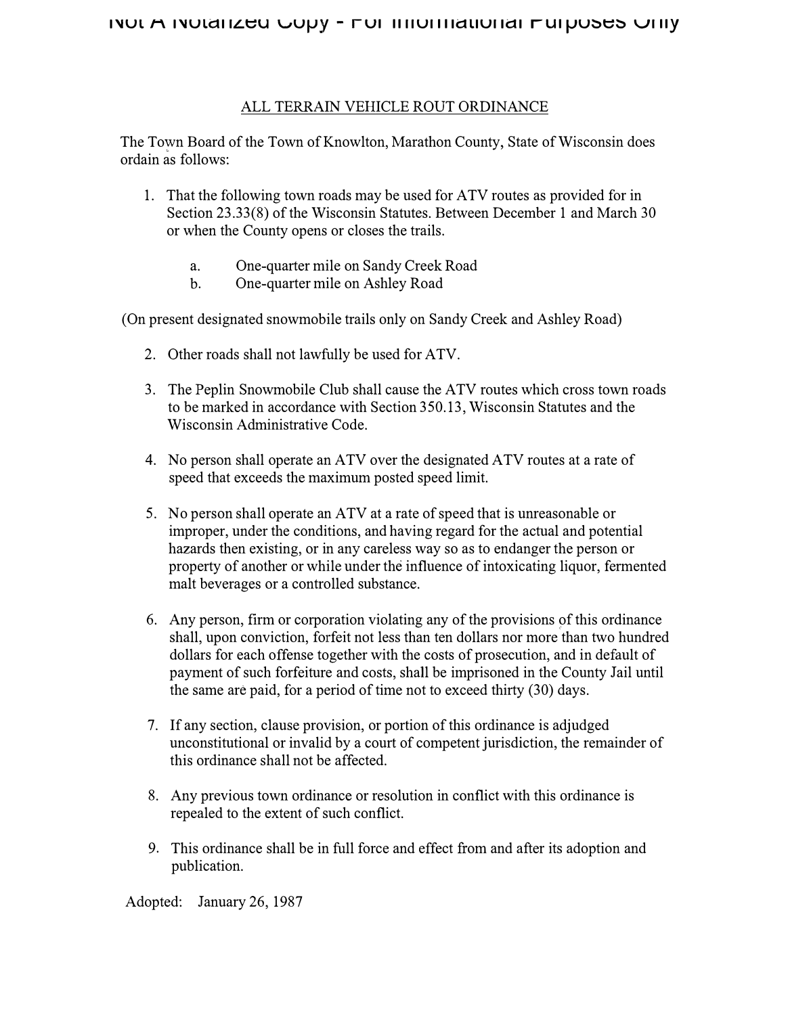## ALL TERRAIN VEHICLE ROUT ORDINANCE

The Town Board of the Town of Knowlton, Marathon County, State of Wisconsin does ordain as follows:

- 1. That the following town roads may be used for ATV routes as provided for in Section 23.33(8) of the Wisconsin Statutes. Between December 1 and March 30 or when the County opens or closes the trails.
	- a. One-quarter mile on Sandy Creek Road
	- b. One-quarter mile on Ashley Road

(On present designated snowmobile trails only on Sandy Creek and Ashley Road)

- 2. Other roads shall not lawfully be used for ATV.
- 3. The Peplin Snowmobile Club shall cause the ATV routes which cross town roads to be marked in accordance with Section 350.13, Wisconsin Statutes and the Wisconsin Administrative Code.
- 4. No person shall operate an ATV over the designated ATV routes at a rate of speed that exceeds the maximum posted speed limit.
- 5. No person shall operate an ATV at a rate of speed that is unreasonable or improper, under the conditions, and having regard for the actual and potential hazards then existing, or in any careless way so as to endanger the person or property of another or while under the influence of intoxicating liquor, fermented malt beverages or a controlled substance.
- 6. Any person, firm or corporation violating any of the provisions of this ordinance shall, upon conviction, forfeit not less than ten dollars nor more than two hundred dollars for each offense together with the costs of prosecution, and in default of payment of such forfeiture and costs, shall be imprisoned in the County Jail until the same are paid, for a period of time not to exceed thirty (30) days.
- 7. If any section, clause provision, or portion of this ordinance is adjudged unconstitutional or invalid by a court of competent jurisdiction, the remainder of this ordinance shall not be affected.
- 8. Any previous town ordinance or resolution in conflict with this ordinance is repealed to the extent of such conflict.
- 9. This ordinance shall be in full force and effect from and after its adoption and publication.

Adopted: January 26, 1987